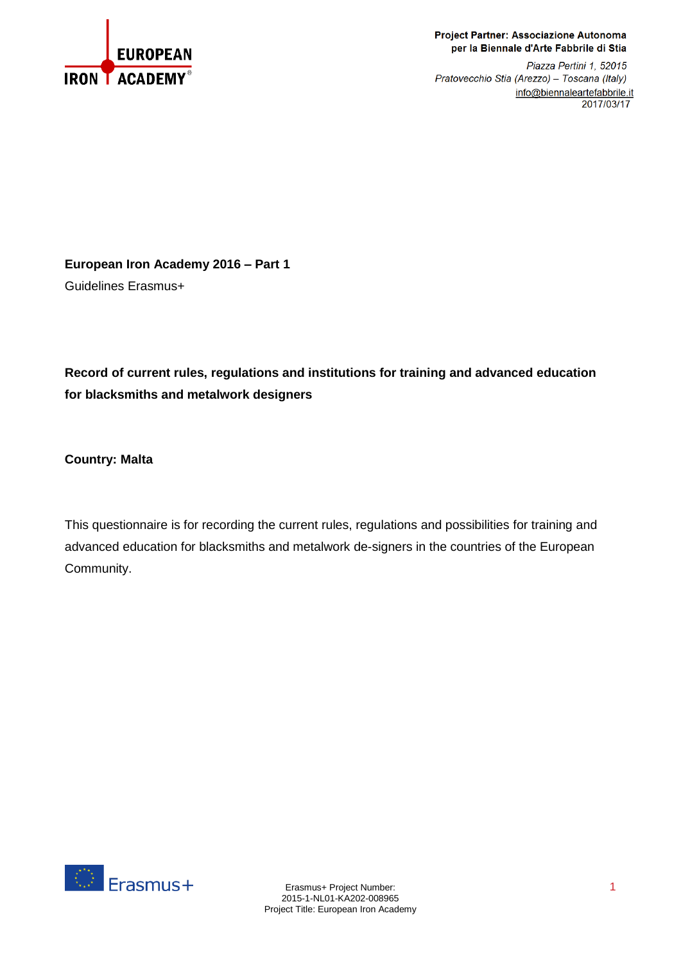

## Project Partner: Associazione Autonoma per la Biennale d'Arte Fabbrile di Stia

Piazza Pertini 1, 52015 Pratovecchio Stia (Arezzo) - Toscana (Italy) info@biennaleartefabbrile.it 2017/03/17

**European Iron Academy 2016 – Part 1** Guidelines Erasmus+

**Record of current rules, regulations and institutions for training and advanced education for blacksmiths and metalwork designers**

**Country: Malta**

This questionnaire is for recording the current rules, regulations and possibilities for training and advanced education for blacksmiths and metalwork de-signers in the countries of the European Community.

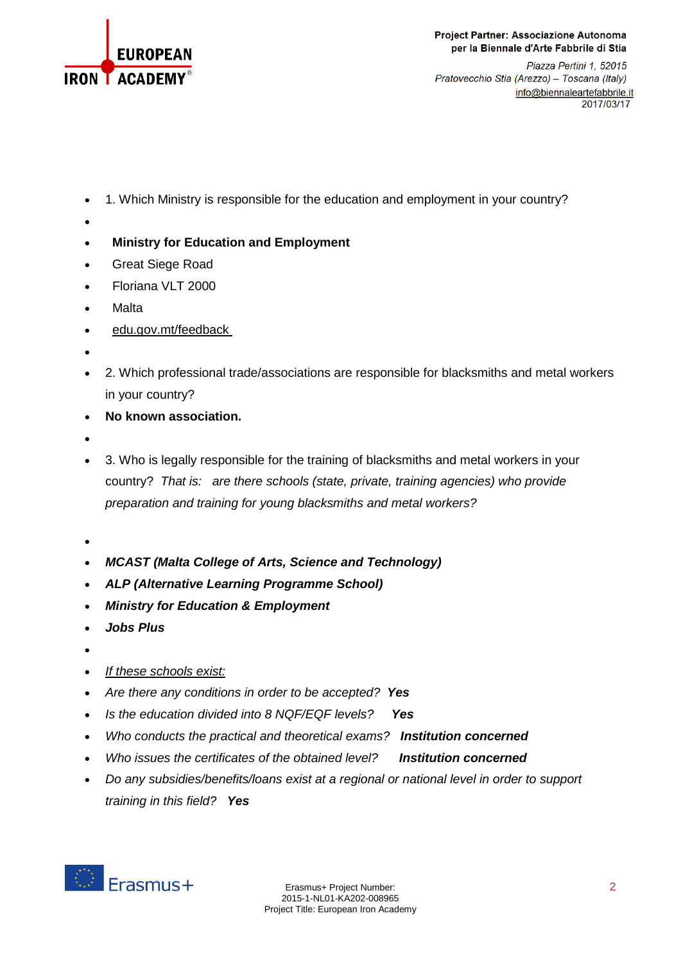

Project Partner: Associazione Autonoma per la Biennale d'Arte Fabbrile di Stia

Piazza Pertini 1, 52015 Pratovecchio Stia (Arezzo) - Toscana (Italy) info@biennaleartefabbrile.it 2017/03/17

- 1. Which Ministry is responsible for the education and employment in your country?
- $\bullet$
- **Ministry for Education and Employment**
- Great Siege Road
- Floriana VLT 2000
- **Malta**
- [edu.gov.mt/feedback](http://www.education.gov.mt/feedback)
- $\bullet$
- 2. Which professional trade/associations are responsible for blacksmiths and metal workers in your country?
- **No known association.**
- $\bullet$
- 3. Who is legally responsible for the training of blacksmiths and metal workers in your country? *That is: are there schools (state, private, training agencies) who provide preparation and training for young blacksmiths and metal workers?*
- $\bullet$
- *MCAST (Malta College of Arts, Science and Technology)*
- *ALP (Alternative Learning Programme School)*
- *Ministry for Education & Employment*
- *Jobs Plus*
- $\bullet$
- *If these schools exist:*
- *Are there any conditions in order to be accepted? Yes*
- *Is the education divided into 8 NQF/EQF levels? Yes*
- *Who conducts the practical and theoretical exams? Institution concerned*
- *Who issues the certificates of the obtained level? Institution concerned*
- *Do any subsidies/benefits/loans exist at a regional or national level in order to support training in this field? Yes*

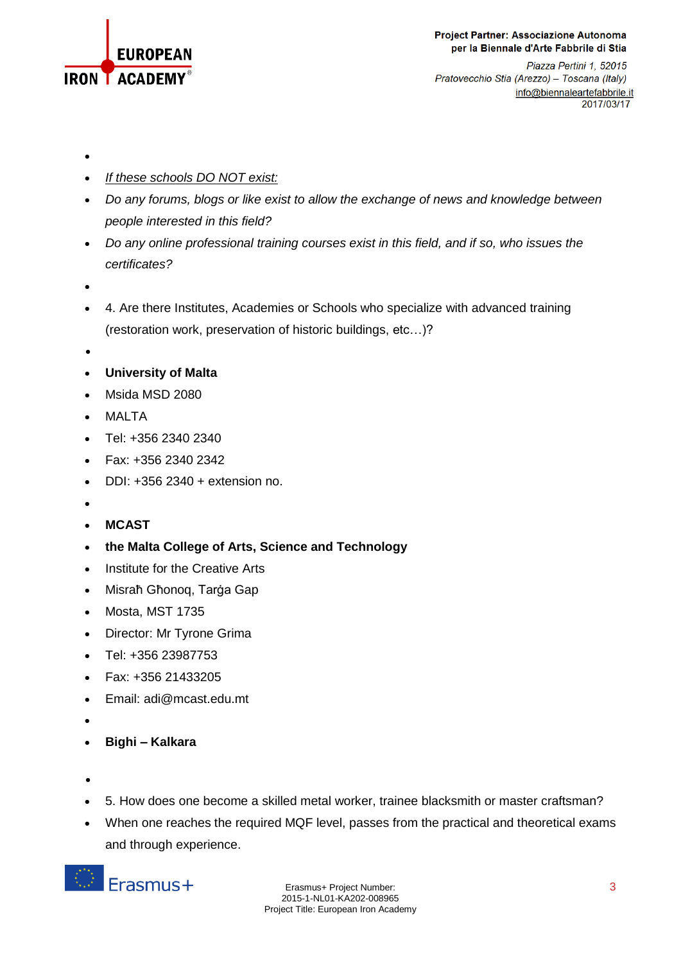

Piazza Pertini 1, 52015 Pratovecchio Stia (Arezzo) - Toscana (Italy) info@biennaleartefabbrile.it 2017/03/17

- $\bullet$
- *If these schools DO NOT exist:*
- *Do any forums, blogs or like exist to allow the exchange of news and knowledge between people interested in this field?*
- *Do any online professional training courses exist in this field, and if so, who issues the certificates?*
- $\bullet$
- 4. Are there Institutes, Academies or Schools who specialize with advanced training (restoration work, preservation of historic buildings, etc…)?
- $\bullet$
- **University of Malta**
- Msida MSD 2080
- MALTA
- Tel: +356 2340 2340
- Fax: +356 2340 2342
- $\bullet$  DDI: +356 2340 + extension no.
- $\bullet$
- **MCAST**
- **the Malta College of Arts, Science and Technology**
- Institute for the Creative Arts
- Misraħ Għonoq, Tarġa Gap
- Mosta, MST 1735
- Director: Mr Tyrone Grima
- Tel: +356 23987753
- Fax: +356 21433205
- Email: adi@mcast.edu.mt
- $\bullet$
- **Bighi – Kalkara**
- $\bullet$
- 5. How does one become a skilled metal worker, trainee blacksmith or master craftsman?
- When one reaches the required MQF level, passes from the practical and theoretical exams and through experience.